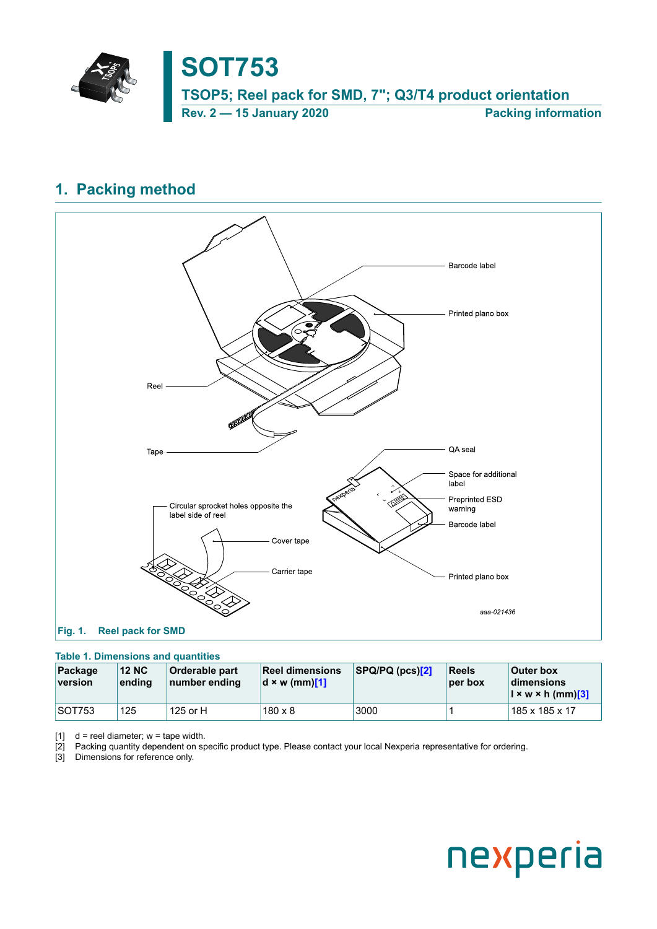

## <span id="page-0-0"></span>**1. Packing method**

<span id="page-0-1"></span>

## <span id="page-0-2"></span>**Table 1. Dimensions and quantities**

| Package<br>version | <b>12 NC</b><br>ending | Orderable part<br>number ending | <b>Reel dimensions</b><br>$d \times w$ (mm)[1] | SPQ/PQ(pcs)[2] | <b>Reels</b><br>per box | <b>Outer box</b><br>dimensions<br>$\left  \right  \times \mathsf{w} \times \mathsf{h}$ (mm)[3] |
|--------------------|------------------------|---------------------------------|------------------------------------------------|----------------|-------------------------|------------------------------------------------------------------------------------------------|
| SOT753             | 125                    | 125 or H                        | $180 \times 8$                                 | 3000           |                         | 185 x 185 x 17                                                                                 |

[1]  $d =$  reel diameter;  $w =$  tape width.

[2] Packing quantity dependent on specific product type. Please contact your local Nexperia representative for ordering.

[3] Dimensions for reference only.

# nexperia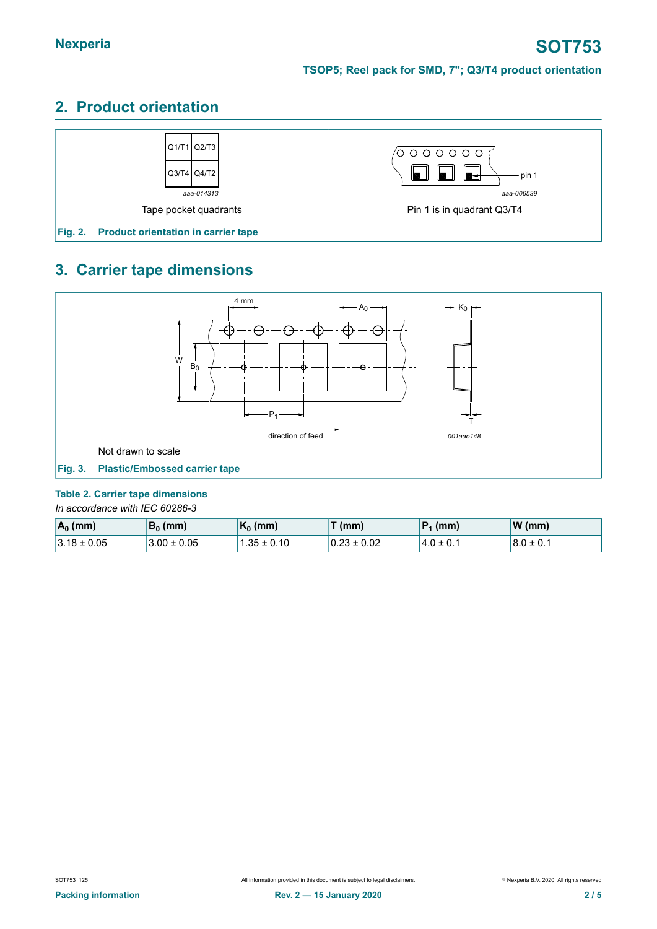# **2. Product orientation**



# **3. Carrier tape dimensions**



#### <span id="page-1-0"></span>**Table 2. Carrier tape dimensions**

*In accordance with IEC 60286-3*

| $A_0$ (mm)      | $B_0$ (mm)      | $K_0$ (mm)   | $\mathcal{F}(\mathsf{mm})$ | $ P_1$ (mm)    | $\mathsf{W}(\mathsf{mm})$ |
|-----------------|-----------------|--------------|----------------------------|----------------|---------------------------|
| $3.18 \pm 0.05$ | $3.00 \pm 0.05$ | $.35\pm0.10$ | $0.23 \pm 0.02$            | $14.0 \pm 0.1$ | $8.0 \pm 0.1$             |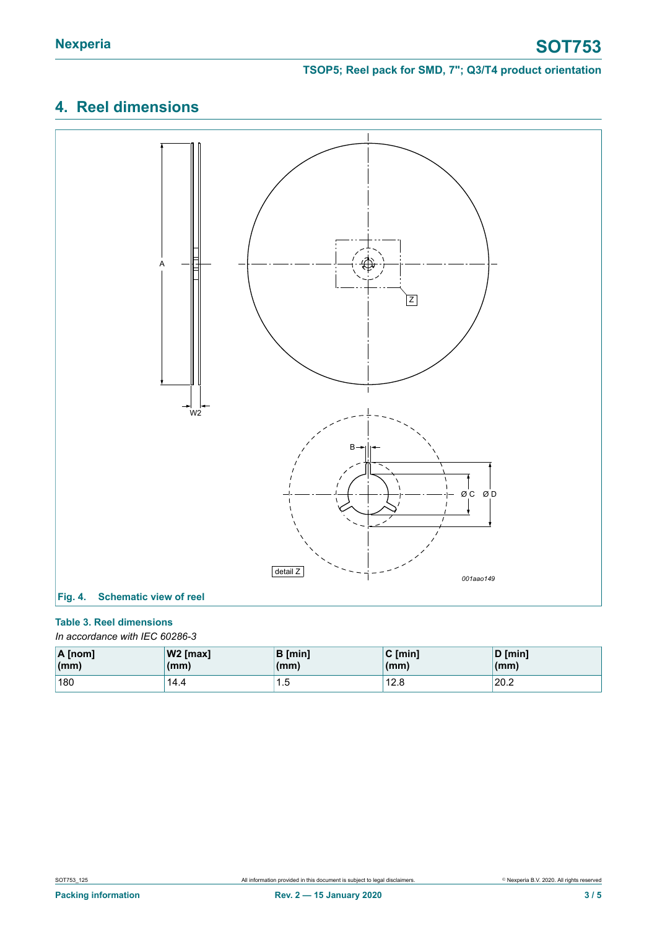# **4. Reel dimensions**



### <span id="page-2-0"></span>**Table 3. Reel dimensions**

*In accordance with IEC 60286-3*

| $\overline{A}$ [nom]   | $ W2$ [max] | <b>B</b> [min] | $C \text{ [min]}$ | D [min] |
|------------------------|-------------|----------------|-------------------|---------|
| $\mathsf{m}\mathsf{m}$ | (mm)        | (mm)           | (mm)              | (mm)    |
| 180                    | 14.4        | ں. ا           | 12.8              | 20.2    |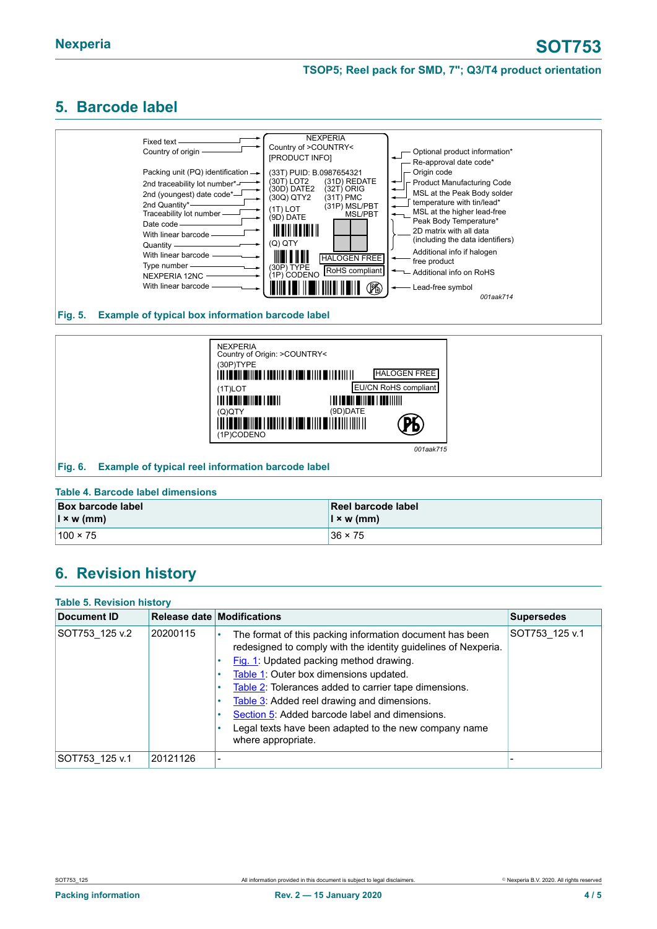#### **TSOP5; Reel pack for SMD, 7"; Q3/T4 product orientation**

## <span id="page-3-0"></span>**5. Barcode label**



#### **Fig. 5. Example of typical box information barcode label**



#### **Table 4. Barcode label dimensions**

| <b>Box barcode label</b> | Reel barcode label |
|--------------------------|--------------------|
| $\vert x \rangle$ w (mm) | $\vert$ x w (mm)   |
| $100 \times 75$          | $36 \times 75$     |

## **6. Revision history**

| <b>Table 5. Revision history</b> |          |                                                                                                                                                                                                                                                                                                                                                                                                                                                               |                   |  |
|----------------------------------|----------|---------------------------------------------------------------------------------------------------------------------------------------------------------------------------------------------------------------------------------------------------------------------------------------------------------------------------------------------------------------------------------------------------------------------------------------------------------------|-------------------|--|
| Document ID                      |          | Release date Modifications                                                                                                                                                                                                                                                                                                                                                                                                                                    | <b>Supersedes</b> |  |
| SOT753 125 v.2                   | 20200115 | The format of this packing information document has been<br>٠<br>redesigned to comply with the identity guidelines of Nexperia.<br>Fig. 1: Updated packing method drawing.<br>Table 1: Outer box dimensions updated.<br>Table 2: Tolerances added to carrier tape dimensions.<br>Table 3: Added reel drawing and dimensions.<br>Section 5: Added barcode label and dimensions.<br>Legal texts have been adapted to the new company name<br>where appropriate. | SOT753 125 v.1    |  |
| SOT753_125 v.1                   | 20121126 | ۰                                                                                                                                                                                                                                                                                                                                                                                                                                                             |                   |  |